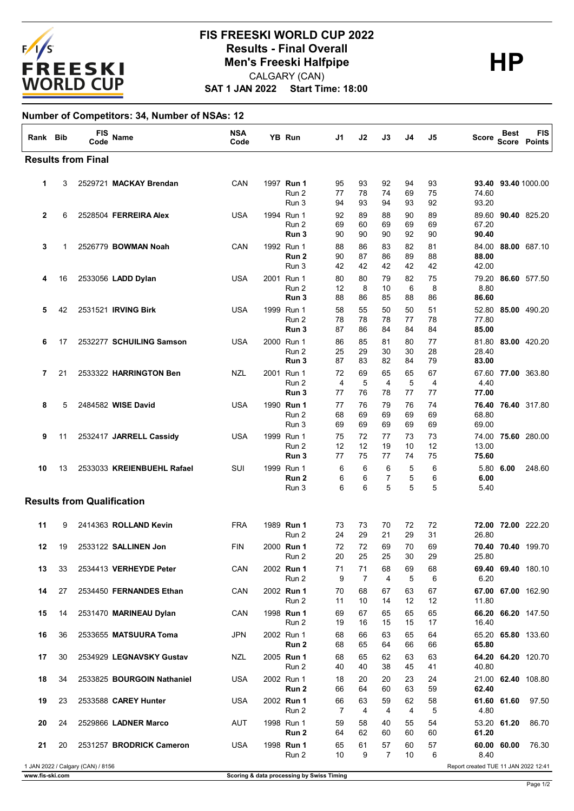

## **SAT 1 JAN 2022 Start Time: 18:00 FIS FREESKI WORLD CUP 2022 Results - Final Overall<br>
Men's Freeski Halfpipe<br>
CALGARY (CAN)** CALGARY (CAN)

## **Number of Competitors: 34, Number of NSAs: 12**

| Rank Bib                  |                                                                           | <b>FIS</b><br>Code | Name                              | <b>NSA</b><br>Code |  | YB Run                                  | J1                   | J2             | J3                         | J4             | J5             | Score                   | Best        | FIS<br>Score Points |
|---------------------------|---------------------------------------------------------------------------|--------------------|-----------------------------------|--------------------|--|-----------------------------------------|----------------------|----------------|----------------------------|----------------|----------------|-------------------------|-------------|---------------------|
| <b>Results from Final</b> |                                                                           |                    |                                   |                    |  |                                         |                      |                |                            |                |                |                         |             |                     |
| 1                         | 3                                                                         |                    | 2529721 MACKAY Brendan            | CAN                |  | 1997 Run 1<br>Run 2<br>Run 3            | 95<br>77<br>94       | 93<br>78<br>93 | 92<br>74<br>94             | 94<br>69<br>93 | 93<br>75<br>92 | 93.40<br>74.60<br>93.20 |             | 93.40 1000.00       |
| $\mathbf{2}$              | 6                                                                         |                    | 2528504 FERREIRA Alex             | USA                |  | 1994 Run 1<br>Run 2<br>Run 3            | 92<br>69<br>90       | 89<br>60<br>90 | 88<br>69<br>90             | 90<br>69<br>92 | 89<br>69<br>90 | 89.60<br>67.20<br>90.40 |             | 90.40 825.20        |
| 3                         | 1                                                                         |                    | 2526779 BOWMAN Noah               | CAN                |  | 1992 Run 1<br>Run <sub>2</sub><br>Run 3 | 88<br>90<br>42       | 86<br>87<br>42 | 83<br>86<br>42             | 82<br>89<br>42 | 81<br>88<br>42 | 84.00<br>88.00<br>42.00 |             | 88.00 687.10        |
| 4                         | 16                                                                        |                    | 2533056 LADD Dylan                | USA                |  | 2001 Run 1<br>Run 2<br>Run 3            | 80<br>12<br>88       | 80<br>8<br>86  | 79<br>10<br>85             | 82<br>6<br>88  | 75<br>8<br>86  | 79.20<br>8.80<br>86.60  |             | 86.60 577.50        |
| 5                         | 42                                                                        |                    | 2531521 IRVING Birk               | <b>USA</b>         |  | 1999 Run 1<br>Run 2<br>Run 3            | 58<br>78<br>87       | 55<br>78<br>86 | 50<br>78<br>84             | 50<br>77<br>84 | 51<br>78<br>84 | 52.80<br>77.80<br>85.00 |             | 85.00 490.20        |
| 6                         | 17                                                                        |                    | 2532277 SCHUILING Samson          | USA                |  | 2000 Run 1<br>Run 2<br>Run 3            | 86<br>25<br>87       | 85<br>29<br>83 | 81<br>30<br>82             | 80<br>30<br>84 | 77<br>28<br>79 | 81.80<br>28.40<br>83.00 |             | 83.00 420.20        |
| 7                         | 21                                                                        |                    | 2533322 HARRINGTON Ben            | NZL                |  | 2001 Run 1<br>Run 2<br>Run 3            | 72<br>4<br>77        | 69<br>5<br>76  | 65<br>$\overline{4}$<br>78 | 65<br>5<br>77  | 67<br>4<br>77  | 4.40<br>77.00           |             | 67.60 77.00 363.80  |
| 8                         | 5                                                                         |                    | 2484582 WISE David                | USA                |  | 1990 Run 1<br>Run 2<br>Run 3            | 77<br>68<br>69       | 76<br>69<br>69 | 79<br>69<br>69             | 76<br>69<br>69 | 74<br>69<br>69 | 68.80<br>69.00          |             | 76.40 76.40 317.80  |
| 9                         | 11                                                                        |                    | 2532417 JARRELL Cassidy           | <b>USA</b>         |  | 1999 Run 1<br>Run 2<br>Run 3            | 75<br>12<br>77       | 72<br>12<br>75 | 77<br>19<br>77             | 73<br>10<br>74 | 73<br>12<br>75 | 74.00<br>13.00<br>75.60 |             | 75.60 280.00        |
| 10                        | 13                                                                        |                    | 2533033 KREIENBUEHL Rafael        | SUI                |  | 1999 Run 1<br>Run 2<br>Run 3            | 6<br>6<br>6          | 6<br>6<br>6    | 6<br>7<br>5                | 5<br>5<br>5    | 6<br>6<br>5    | 6.00<br>5.40            | 5.80 6.00   | 248.60              |
|                           |                                                                           |                    | <b>Results from Qualification</b> |                    |  |                                         |                      |                |                            |                |                |                         |             |                     |
| 11                        | 9                                                                         |                    | 2414363 ROLLAND Kevin             | <b>FRA</b>         |  | 1989 Run 1<br>Run 2                     | 73<br>24             | 73<br>29       | 70<br>21                   | 72<br>29       | 72<br>31       | 26.80                   |             | 72.00 72.00 222.20  |
| 12                        | 19                                                                        |                    | 2533122 SALLINEN Jon              | FIN                |  | 2000 Run 1<br>Run 2                     | 72<br>20             | 72<br>25       | 69<br>25                   | 70<br>30       | 69<br>29       | 25.80                   |             | 70.40 70.40 199.70  |
| 13                        | 33                                                                        |                    | 2534413 VERHEYDE Peter            | CAN                |  | 2002 Run 1<br>Run 2                     | 71<br>9              | 71<br>7        | 68<br>4                    | 69<br>5        | 68<br>6        | 69.40<br>6.20           |             | <b>69.40</b> 180.10 |
| 14                        | 27                                                                        |                    | 2534450 FERNANDES Ethan           | CAN                |  | 2002 Run 1<br>Run 2                     | 70<br>11             | 68<br>10       | 67<br>14                   | 63<br>12       | 67<br>12       | 11.80                   |             | 67.00 67.00 162.90  |
| 15                        | 14                                                                        |                    | 2531470 MARINEAU Dylan            | CAN                |  | 1998 Run 1<br>Run 2                     | 69<br>19             | 67<br>16       | 65<br>15                   | 65<br>15       | 65<br>17       | 16.40                   |             | 66.20 66.20 147.50  |
| 16                        | 36                                                                        |                    | 2533655 MATSUURA Toma             | JPN                |  | 2002 Run 1<br>Run 2                     | 68<br>68             | 66<br>65       | 63<br>64                   | 65<br>66       | 64<br>66       | 65.80                   |             | 65.20 65.80 133.60  |
| 17                        | 30                                                                        |                    | 2534929 LEGNAVSKY Gustav          | NZL                |  | 2005 Run 1<br>Run 2                     | 68<br>40             | 65<br>40       | 62<br>38                   | 63<br>45       | 63<br>41       | 40.80                   |             | 64.20 64.20 120.70  |
| 18                        | 34                                                                        |                    | 2533825 BOURGOIN Nathaniel        | USA                |  | 2002 Run 1<br>Run 2                     | 18<br>66             | 20<br>64       | 20<br>60                   | 23<br>63       | 24<br>59       | 62.40                   |             | 21.00 62.40 108.80  |
| 19                        | 23                                                                        |                    | 2533588 CAREY Hunter              | USA                |  | 2002 Run 1<br>Run 2                     | 66<br>$\overline{7}$ | 63<br>4        | 59<br>4                    | 62<br>4        | 58<br>5        | 4.80                    | 61.60 61.60 | 97.50               |
| 20                        | 24                                                                        |                    | 2529866 LADNER Marco              | AUT                |  | 1998 Run 1<br>Run 2                     | 59<br>64             | 58<br>62       | 40<br>60                   | 55<br>60       | 54<br>60       | 61.20                   | 53.20 61.20 | 86.70               |
| 21                        | 20                                                                        |                    | 2531257 BRODRICK Cameron          | USA                |  | 1998 Run 1<br>Run 2                     | 65<br>10             | 61<br>9        | 57<br>$\overline{7}$       | 60<br>10       | 57<br>6        | 8.40                    | 60.00 60.00 | 76.30               |
|                           | 1 JAN 2022 / Calgary (CAN) / 8156<br>Report created TUE 11 JAN 2022 12:41 |                    |                                   |                    |  |                                         |                      |                |                            |                |                |                         |             |                     |

Page 1/2